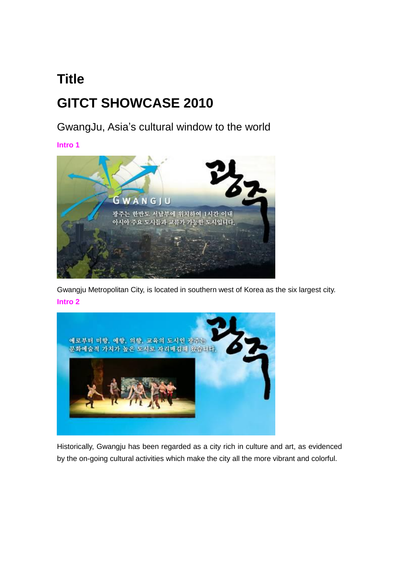# **Title GITCT SHOWCASE 2010**

GwangJu, Asia's cultural window to the world

**Intro 1**



Gwangju Metropolitan City, is located in southern west of Korea as the six largest city. **Intro 2**



Historically, Gwangju has been regarded as a city rich in culture and art, as evidenced by the on-going cultural activities which make the city all the more vibrant and colorful.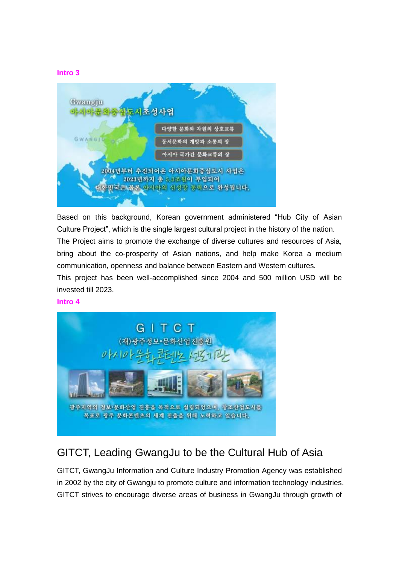#### **Intro 3**



Based on this background, Korean government administered "Hub City of Asian Culture Project", which is the single largest cultural project in the history of the nation. The Project aims to promote the exchange of diverse cultures and resources of Asia, bring about the co-prosperity of Asian nations, and help make Korea a medium communication, openness and balance between Eastern and Western cultures.

This project has been well-accomplished since 2004 and 500 million USD will be invested till 2023.

#### **Intro 4**



### GITCT, Leading GwangJu to be the Cultural Hub of Asia

GITCT, GwangJu Information and Culture Industry Promotion Agency was established in 2002 by the city of Gwangju to promote culture and information technology industries. GITCT strives to encourage diverse areas of business in GwangJu through growth of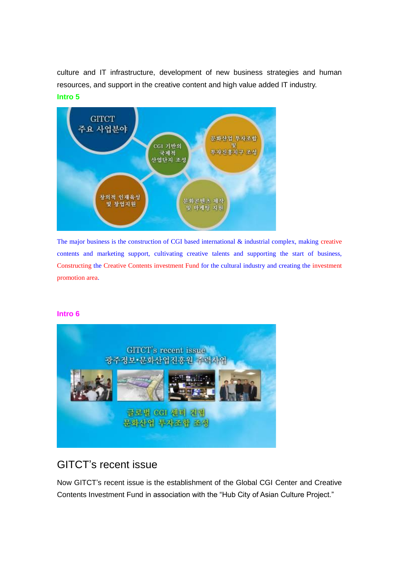culture and IT infrastructure, development of new business strategies and human resources, and support in the creative content and high value added IT industry. **Intro 5**



The major business is the construction of CGI based international & industrial complex, making creative contents and marketing support, cultivating creative talents and supporting the start of business, Constructing the Creative Contents investment Fund for the cultural industry and creating the investment promotion area.

#### **Intro 6**



### GITCT's recent issue

Now GITCT's recent issue is the establishment of the Global CGI Center and Creative Contents Investment Fund in association with the "Hub City of Asian Culture Project."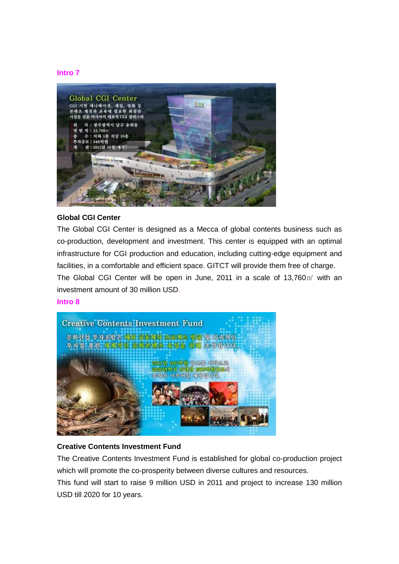#### **Intro 7**



#### **Global CGI Center**

The Global CGI Center is designed as a Mecca of global contents business such as co-production, development and investment. This center is equipped with an optimal infrastructure for CGI production and education, including cutting-edge equipment and facilities, in a comfortable and efficient space. GITCT will provide them free of charge. The Global CGI Center will be open in June, 2011 in a scale of 13,760m<sup>2</sup> with an investment amount of 30 million USD.

#### **Intro 8**



#### **Creative Contents Investment Fund**

The Creative Contents Investment Fund is established for global co-production project which will promote the co-prosperity between diverse cultures and resources.

This fund will start to raise 9 million USD in 2011 and project to increase 130 million USD till 2020 for 10 years.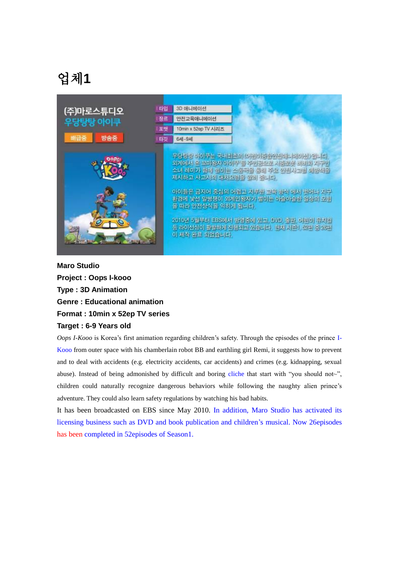

**Maro Studio Project : Oops I-kooo Type : 3D Animation Genre : Educational animation Format : 10min x 52ep TV series Target : 6-9 Years old**

*Oops I-Kooo* is Korea"s first animation regarding children"s safety. Through the episodes of the prince I-Kooo from outer space with his chamberlain robot BB and earthling girl Remi, it suggests how to prevent and to deal with accidents (e.g. electricity accidents, car accidents) and crimes (e.g. kidnapping, sexual abuse). Instead of being admonished by difficult and boring cliche that start with "you should not~", children could naturally recognize dangerous behaviors while following the naughty alien prince"s adventure. They could also learn safety regulations by watching his bad habits.

It has been broadcasted on EBS since May 2010. In addition, Maro Studio has activated its licensing business such as DVD and book publication and children"s musical. Now 26episodes has been completed in 52episodes of Season1.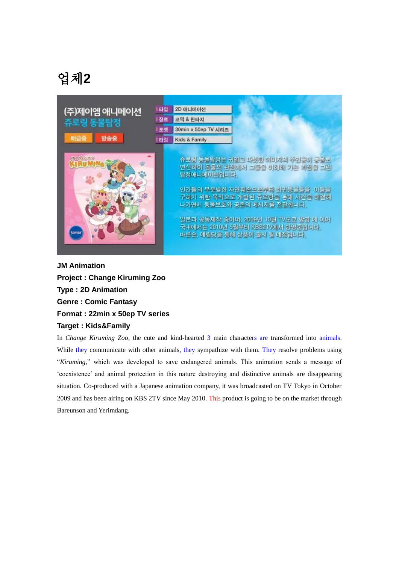| (주)제이엠 애니메이션    | 타입   | 2D 애니메이션                                                                                                                                                                                                                                                                                            |
|-----------------|------|-----------------------------------------------------------------------------------------------------------------------------------------------------------------------------------------------------------------------------------------------------------------------------------------------------|
| 쥬로링 동물탐정        | ! 장르 | 코믹 & 판타지                                                                                                                                                                                                                                                                                            |
| 배급증             | 至驶   | 30min x 50ep TV 시리즈                                                                                                                                                                                                                                                                                 |
| 방송중             | 타깃   | Kids & Family                                                                                                                                                                                                                                                                                       |
| 通过位置是生<br>50×22 |      | 유료링 동물람정은 귀엽고 따뜻한 이미지의 주인공이 동물로<br>변신하여 봉물의 관점에서 그들을 이해해 가는 과정을 그린<br>탐정애니메이션입니다.<br>인간들의 무분별한 자연훼손으로부터 회계동물들을<br>이들을<br>구하기 위한 목적으로 개발된 쥬로링을 통해 사건을 해결해<br>나가면서 동물보호와 공존의 메시지를 전달합니다.<br>일본과 공동제작 중이며, 2009년 10월 TV도쿄 방영 에 이어<br>국내에서는 2010년 5월부터 KBS2TV에서 방영중입니다.<br>바른손, 예립당을 통해 상품이 출시 될 예정입니다. |

**JM Animation Project : Change Kiruming Zoo Type : 2D Animation Genre : Comic Fantasy Format : 22min x 50ep TV series Target : Kids&Family**

In *Change Kiruming Zoo*, the cute and kind-hearted 3 main characters are transformed into animals. While they communicate with other animals, they sympathize with them. They resolve problems using "*Kiruming*," which was developed to save endangered animals. This animation sends a message of "coexistence" and animal protection in this nature destroying and distinctive animals are disappearing situation. Co-produced with a Japanese animation company, it was broadcasted on TV Tokyo in October 2009 and has been airing on KBS 2TV since May 2010. This product is going to be on the market through Bareunson and Yerimdang.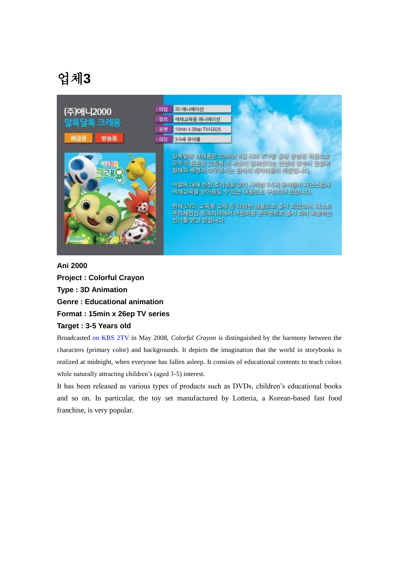| (주)애니2000             | 타입 | 3D 애니메이션                                                                                                                                                                                                                                                                                      |
|-----------------------|----|-----------------------------------------------------------------------------------------------------------------------------------------------------------------------------------------------------------------------------------------------------------------------------------------------|
| 알록달록 크레용              | 장르 | 색채교육용 애니메이션                                                                                                                                                                                                                                                                                   |
|                       | 포맷 | 15min x 26ep TV시리즈                                                                                                                                                                                                                                                                            |
| 배급증<br>방송중            | 타깃 | 3-5세 유아물                                                                                                                                                                                                                                                                                      |
| 2555<br><b>HI2008</b> |    | 일복달록 크레몽은 2008년 5월 KBS 2TV를 통해 방영원 작품으로<br>모두가 잠든밤 그림책 속 세상이 펼쳐진다는 건셈에 맞추어 팔업하<br>형태의 배경과 어우러지는 원색의 개력터들이 북정입니다.<br>색깔에 대해 한창 호기심을 갖기 시작한 3-5세 유아들이 자연스럽게<br>색채교육을 받아들일 수 있는 내용으로 구성되어 있습니다.<br>'현재 DVD, 교육용 교재 등 다양한 상품으로 출시 되었으며, 패스트<br>푸드체인인 롯데리아에서 어린이용 완구셋트로 춥시 되어 폭발적인<br>인기를 얻고 있습니다. |

### **Ani 2000 Project : Colorful Crayon Type : 3D Animation Genre : Educational animation Format : 15min x 26ep TV series Target : 3-5 Years old**

Broadcasted on KBS 2TV in May 2008, *Colorful Crayon* is distinguished by the harmony between the characters (primary color) and backgrounds. It depicts the imagination that the world in storybooks is realized at midnight, when everyone has fallen asleep. It consists of educational contents to teach colors while naturally attracting children's (aged 3-5) interest.

It has been released as various types of products such as DVDs, children"s educational books and so on. In particular, the toy set manufactured by Lotteria, a Korean-based fast food franchise, is very popular.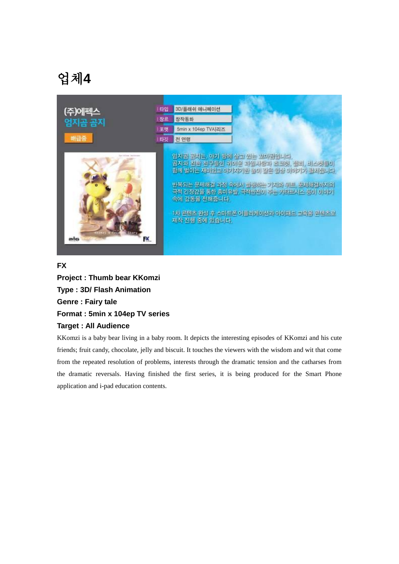

#### **FX**

**Project : Thumb bear KKomzi Type : 3D/ Flash Animation Genre : Fairy tale Format : 5min x 104ep TV series Target : All Audience** 

KKomzi is a baby bear living in a baby room. It depicts the interesting episodes of KKomzi and his cute friends; fruit candy, chocolate, jelly and biscuit. It touches the viewers with the wisdom and wit that come from the repeated resolution of problems, interests through the dramatic tension and the catharses from the dramatic reversals. Having finished the first series, it is being produced for the Smart Phone application and i-pad education contents.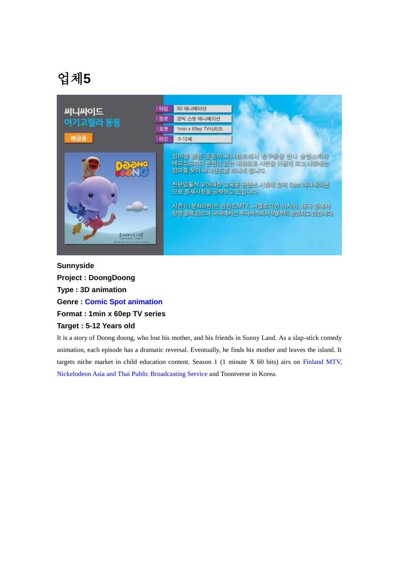| 써니싸이드                                                     | l 타입 | 3D 아니메이션                                                                                                                                                                                                                                           |
|-----------------------------------------------------------|------|----------------------------------------------------------------------------------------------------------------------------------------------------------------------------------------------------------------------------------------------------|
| 아기고릴라 둥둥                                                  | 장르   | 코믹 스팟 애니메이션                                                                                                                                                                                                                                        |
|                                                           | 포맷   | 1min x 60ep TV시리즈                                                                                                                                                                                                                                  |
| 배급증                                                       | 国以   | 5-12세                                                                                                                                                                                                                                              |
| 6.<br>SUNNYSIDE<br>I control to make the finitest desires |      | 엄마를 잃은 등등이 써니랜드에서 친구들을 만나 습벨스틱과<br>에피소드마다 반전이 있는 내용으로 시즌을 이끌게 되고 나중에는<br>엄마를 찾아 써니랜드를 떠나게 됩니다.<br>천편일률적 유아대상 교육용 콘텐츠 시장에 고밀 Spot 애니메이션<br>으로 듬새시장을 공략하고 있습니다.<br>사준1(1분X60편)은 관란드MTV, 나켈로디언 아시아, 태국 등에서<br>방영 중에 있으며, 국내에서는 두나버스에서 9월부터 방영되고 있습니다. |

**Sunnyside Project : DoongDoong Type : 3D animation Genre : Comic Spot animation Format : 1min x 60ep TV series Target : 5-12 Years old**

It is a story of Doong doong, who lost his mother, and his friends in Sunny Land. As a slap-stick comedy animation, each episode has a dramatic reversal. Eventually, he finds his mother and leaves the island. It targets niche market in child education content. Season 1 (1 minute X 60 bits) airs on Finland MTV, Nickelodeon Asia and Thai Public Broadcasting Service and Tooniverse in Korea.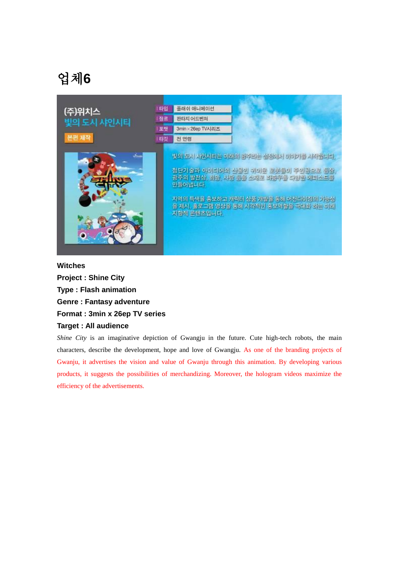

#### **Witches**

**Project : Shine City Type : Flash animation Genre : Fantasy adventure Format : 3min x 26ep TV series Target : All audience** 

*Shine City* is an imaginative depiction of Gwangju in the future. Cute high-tech robots, the main characters, describe the development, hope and love of Gwangju. As one of the branding projects of Gwanju, it advertises the vision and value of Gwanju through this animation. By developing various products, it suggests the possibilities of merchandizing. Moreover, the hologram videos maximize the efficiency of the advertisements.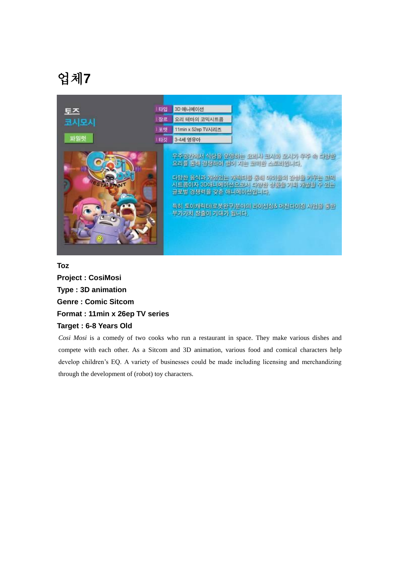

#### **Toz**

**Project : CosiMosi Type : 3D animation Genre : Comic Sitcom Format : 11min x 26ep TV series Target : 6-8 Years Old**

*Cosi Mosi* is a comedy of two cooks who run a restaurant in space. They make various dishes and compete with each other. As a Sitcom and 3D animation, various food and comical characters help develop children"s EQ. A variety of businesses could be made including licensing and merchandizing through the development of (robot) toy characters.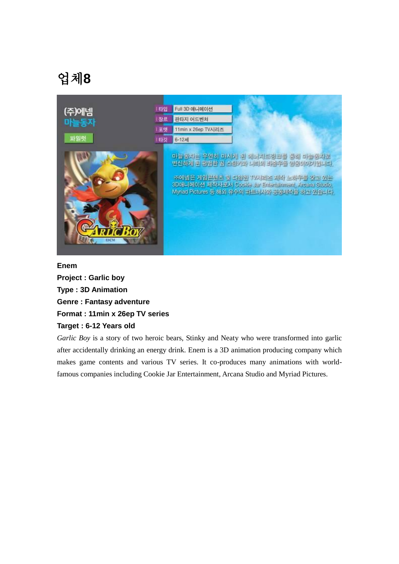

#### **Enem**

**Project : Garlic boy Type : 3D Animation Genre : Fantasy adventure Format : 11min x 26ep TV series Target : 6-12 Years old**

*Garlic Boy* is a story of two heroic bears, Stinky and Neaty who were transformed into garlic after accidentally drinking an energy drink. Enem is a 3D animation producing company which makes game contents and various TV series. It co-produces many animations with worldfamous companies including Cookie Jar Entertainment, Arcana Studio and Myriad Pictures.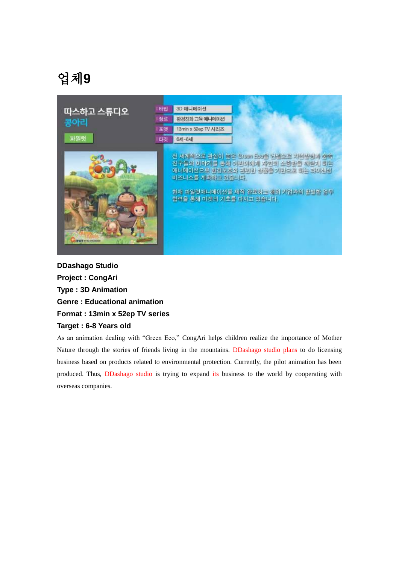| 따스하고 스튜디오            | 타입 | 3D 애니메이션                                                                                                                                                                                                   |
|----------------------|----|------------------------------------------------------------------------------------------------------------------------------------------------------------------------------------------------------------|
| 콩아리                  | 장르 | 환경친화 교육 애니메이션                                                                                                                                                                                              |
|                      | 포맷 | 13min x 52ep TV 시리즈                                                                                                                                                                                        |
| 파일럿                  | 타깃 | $64 - 84$                                                                                                                                                                                                  |
| <b>ITCT</b> tenumine |    | 전 세계적으로 관심이 높은 Green Eco를 전셈으로 자원발동과 숲속<br>친구들의 이야기를 통해 어린이에게 자연의 소중함을 깨닫게 하는<br>아니메이션으로 환경보호와 관련한 상품을 기반으로 하는 라이센싱<br>비즈니스를 계획하고 있습니다.<br>한재 파일럿애니메이션을 제작 완료하고 해외 기업과의 활발한 업무<br>협력을 통해 마켓의 기초를 다지고 있습니다. |

**DDashago Studio Project : CongAri Type : 3D Animation Genre : Educational animation Format : 13min x 52ep TV series Target : 6-8 Years old**

As an animation dealing with "Green Eco," CongAri helps children realize the importance of Mother Nature through the stories of friends living in the mountains. DDashago studio plans to do licensing business based on products related to environmental protection. Currently, the pilot animation has been produced. Thus, DDashago studio is trying to expand its business to the world by cooperating with overseas companies.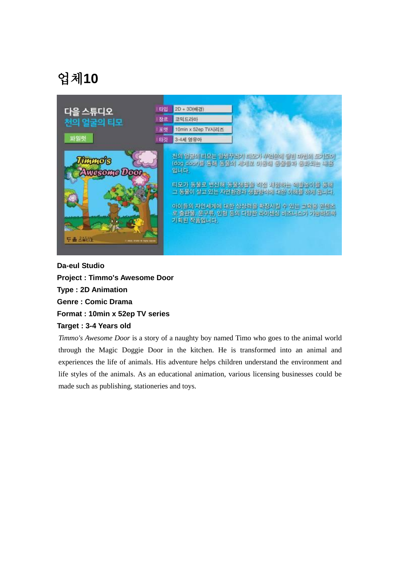

**Da-eul Studio Project : Timmo's Awesome Door Type : 2D Animation Genre : Comic Drama Format : 10min x 52ep TV series Target : 3-4 Years old**

*Timmo's Awesome Door* is a story of a naughty boy named Timo who goes to the animal world through the Magic Doggie Door in the kitchen. He is transformed into an animal and experiences the life of animals. His adventure helps children understand the environment and life styles of the animals. As an educational animation, various licensing businesses could be made such as publishing, stationeries and toys.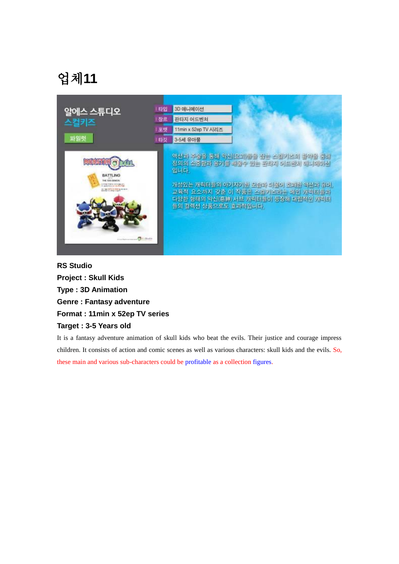

**RS Studio Project : Skull Kids Type : 3D Animation Genre : Fantasy adventure Format : 11min x 52ep TV series Target : 3-5 Years old**

It is a fantasy adventure animation of skull kids who beat the evils. Their justice and courage impress children. It consists of action and comic scenes as well as various characters: skull kids and the evils. So, these main and various sub-characters could be profitable as a collection figures.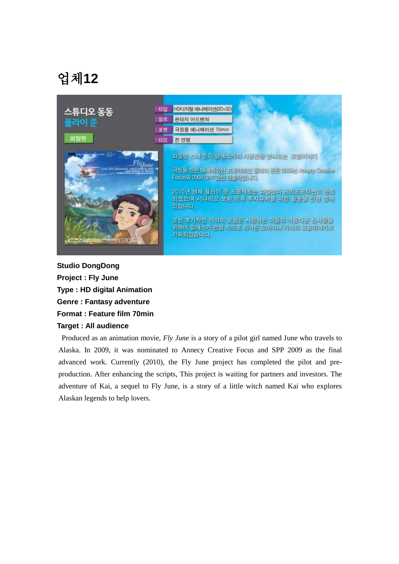| 스튜디오 동동                                                                                       | 타입 | HD디지털 애니메이션(2D+3D)                                                                                                                                                                                                                                                                               |
|-----------------------------------------------------------------------------------------------|----|--------------------------------------------------------------------------------------------------------------------------------------------------------------------------------------------------------------------------------------------------------------------------------------------------|
| 플라이 준                                                                                         | 장르 | 판타지 어드벤쳐                                                                                                                                                                                                                                                                                         |
|                                                                                               | 포맷 | 극장용 애니메이션 70min                                                                                                                                                                                                                                                                                  |
| 파일럿                                                                                           | 타깃 | 전 연령                                                                                                                                                                                                                                                                                             |
| 哪<br>Fly <sub>June</sub><br>Love and adventure, butnowiding time<br>2323.49<br><b>ENRXPER</b> |    | 파일럿 소녀 준의 일래스카의 사공간을 넘나도는 '모형이야기'<br>국장용 장면 애니메이션 프로젝트인 플라이 좋은 2006년 Amazy Greekee<br>Focus와 2009 SPP 결선 진출작입니다.<br>2010년 현재 플라이 준 프로젝트는 파일닷과 프리프로딕션이 완료<br>되었으며 시나라오 보완 이후 투자유치를 위한 활동을 진행 중에<br>있습니다.<br>또한 후기작인 카이의 모험은 사랑하는 이들의 아름다운 첫사랑을<br>위하여 알래스키 전설 속으로 뛰어든 꼬마마녀 카이의 모험이야기로<br>기획되었습니다. |

**Studio DongDong Project : Fly June Type : HD digital Animation Genre : Fantasy adventure Format : Feature film 70min Target : All audience** 

Produced as an animation movie, *Fly June* is a story of a pilot girl named June who travels to Alaska. In 2009, it was nominated to Annecy Creative Focus and SPP 2009 as the final advanced work. Currently (2010), the Fly June project has completed the pilot and preproduction. After enhancing the scripts, This project is waiting for partners and investors. The adventure of Kai, a sequel to Fly June, is a story of a little witch named Kai who explores Alaskan legends to help lovers.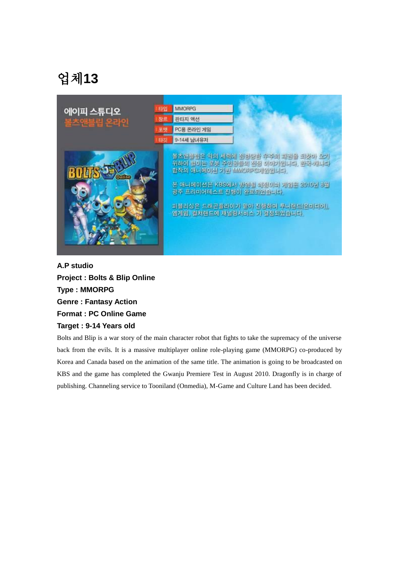

**A.P studio Project : Bolts & Blip Online Type : MMORPG Genre : Fantasy Action Format : PC Online Game Target : 9-14 Years old**

Bolts and Blip is a war story of the main character robot that fights to take the supremacy of the universe back from the evils. It is a massive multiplayer online role-playing game (MMORPG) co-produced by Korea and Canada based on the animation of the same title. The animation is going to be broadcasted on KBS and the game has completed the Gwanju Premiere Test in August 2010. Dragonfly is in charge of publishing. Channeling service to Tooniland (Onmedia), M-Game and Culture Land has been decided.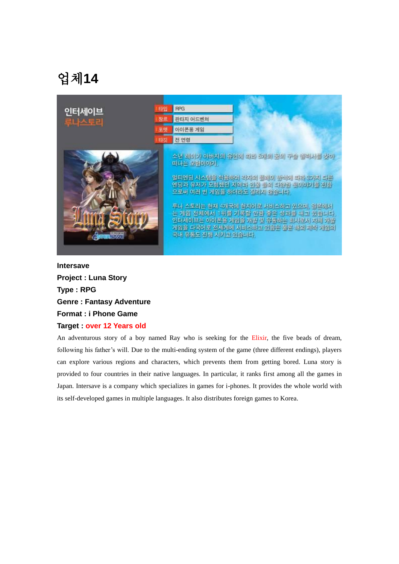| 인터세이브       | 타입 | <b>RPG</b>                                                                                                                                                                                                                                                                                                                                              |
|-------------|----|---------------------------------------------------------------------------------------------------------------------------------------------------------------------------------------------------------------------------------------------------------------------------------------------------------------------------------------------------------|
| 루나스토리       |    | 판타지 어드벤쳐                                                                                                                                                                                                                                                                                                                                                |
|             | 포맷 | 아이폰용 게임                                                                                                                                                                                                                                                                                                                                                 |
|             | 타깃 | 전 연렴                                                                                                                                                                                                                                                                                                                                                    |
| <b>EAVE</b> |    | 소년 레이가 아버지의 유언에 따라 화대의 꿈의 구슬 셀러서를 찾아<br>떠나는 모험이야기.<br>멀티엔딩 시스템을 적용하며 각자의 플레이 방식에 따라 3가지 다른<br>인딩과 유저가 모험했던 지역과 인물 들의 다양한 것이야기를 전함<br>으로써 여러 번 게임을 하더라도 질리지 않습니다.<br>루나 스토리는 현재 4개국에 현지어로 서비스하고 있으며, 일본에서<br>는 게임 전체에서 1위를 기록할 만큼 좋은 성과를 내고 있습니다.<br>인터세이브는 아이폰용 게임을 개발 및 유동하는 회사로서 자체 개발<br>게임을 다국어로 전세계에 서비스하고 있음은 물론 해외 제작 게임의<br>국내 유동도 진행 시키고 있습니다. |

**Intersave Project : Luna Story Type : RPG Genre : Fantasy Adventure Format : i Phone Game Target : over 12 Years old**

An adventurous story of a boy named Ray who is seeking for the Elixir, the five beads of dream, following his father's will. Due to the multi-ending system of the game (three different endings), players can explore various regions and characters, which prevents them from getting bored. Luna story is provided to four countries in their native languages. In particular, it ranks first among all the games in Japan. Intersave is a company which specializes in games for i-phones. It provides the whole world with its self-developed games in multiple languages. It also distributes foreign games to Korea.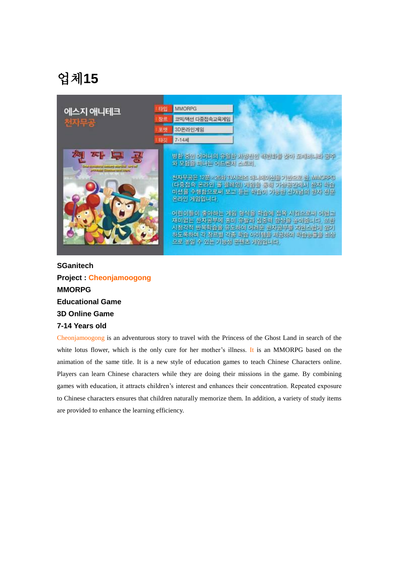| 에스지 애니테크<br>천자무공                                           | 타입 | <b>MMORPG</b>                                                                                                                                                                                                                                                                                                                                                                                  |
|------------------------------------------------------------|----|------------------------------------------------------------------------------------------------------------------------------------------------------------------------------------------------------------------------------------------------------------------------------------------------------------------------------------------------------------------------------------------------|
|                                                            |    | 코믹/액션 다중접속교육게임                                                                                                                                                                                                                                                                                                                                                                                 |
|                                                            | 포맷 | 3D온라인계임                                                                                                                                                                                                                                                                                                                                                                                        |
|                                                            | 타깃 | $7 - 14$ 세                                                                                                                                                                                                                                                                                                                                                                                     |
| ودادس المتوسف ومخصا تمسوغمت<br>لديمنا أحلته سمخطات ووحماني |    | 병환 중인 어머니의 유일한 처방전인 책력화를 찾아 도깨비니라 공주<br>와 모험을 떠나는 어드벤처 스토리.<br>전자유공을 12분 ×26화 TVA 리즈 애니메이션을 기반으로 한 MMOFFG<br>(다중접속 온라인 몸 플레밍) 개입을 통해 가상공간에서 한자 학습<br>미션을 수행함으로써 보고 듣는 학습이 가능한 신개념의 한자 전문<br>온라인 게임입니다.<br>어린이들이 총아하는 게임 형식을 찾습에 점목 시킴으로써 어렵고<br>재미없는 한자공부에 흥미 유발과 집중력 향상을 높여줍니다. 또한<br>시청각적 반복학습을 유도하여 어려운 한자공부를 자연스럽게 암기<br>하도록하며 각 장르별 각종 학습 아이템을 제공하여 학습능률을 최상<br>으로 높일 수 있는 기능성 콘텐츠 게임입니다. |

### **SGanitech Project : Cheonjamoogong MMORPG Educational Game 3D Online Game 7-14 Years old**

Cheonjamoogong is an adventurous story to travel with the Princess of the Ghost Land in search of the white lotus flower, which is the only cure for her mother's illness. It is an MMORPG based on the animation of the same title. It is a new style of education games to teach Chinese Characters online. Players can learn Chinese characters while they are doing their missions in the game. By combining games with education, it attracts children"s interest and enhances their concentration. Repeated exposure to Chinese characters ensures that children naturally memorize them. In addition, a variety of study items are provided to enhance the learning efficiency.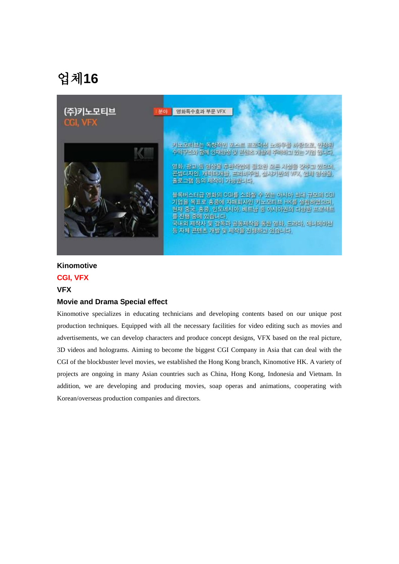| (주)키노모티브<br>분이<br>CGI, VFX | 영화특수효과 부문 VFX                                                                                                                                                                                                                                                                                                                                                                                                  |
|----------------------------|----------------------------------------------------------------------------------------------------------------------------------------------------------------------------------------------------------------------------------------------------------------------------------------------------------------------------------------------------------------------------------------------------------------|
|                            | 키노모티브는 목창작인 포스트 프로북선 노하유를 바람으로, 원정된<br>수익구조와 함께 인재양성 및 콘테츠 개발에 주락하고 있는 기업 입니다.<br>영화, 광고 등 영상률 휴반작업에 필요한 모든 시설률 갖추고 있으며<br>콘셉티자인, 캐릭터개방, 프리비주얼, 실사기반의 VFX, 임체 성상률<br>홀로그램 등의 제작이 가능합니다.<br>'블록베스터급 영화의 CGI를 소화한 수 있는 아시아 최대 규모의 CGI<br>기업을 목표로 홍콩에 지매회사인 키노모티브 HK를 설립하였으며,<br>현재 중국, 홍콩, 인도네시아, 베트남 등 아시아권의 다양한 프로젝트<br>를 진행 중에 있습니다.<br>국내외 제작사 및 감독과 공동제작을 통한 영화, 드라마, 애니메이션<br>등 자체 콘텐츠 개발 및 제작을 진행하고 있습니다. |

#### **Kinomotive**

### **CGI, VFX**

#### **VFX**

#### **Movie and Drama Special effect**

Kinomotive specializes in educating technicians and developing contents based on our unique post production techniques. Equipped with all the necessary facilities for video editing such as movies and advertisements, we can develop characters and produce concept designs, VFX based on the real picture, 3D videos and holograms. Aiming to become the biggest CGI Company in Asia that can deal with the CGI of the blockbuster level movies, we established the Hong Kong branch, Kinomotive HK. A variety of projects are ongoing in many Asian countries such as China, Hong Kong, Indonesia and Vietnam. In addition, we are developing and producing movies, soap operas and animations, cooperating with Korean/overseas production companies and directors.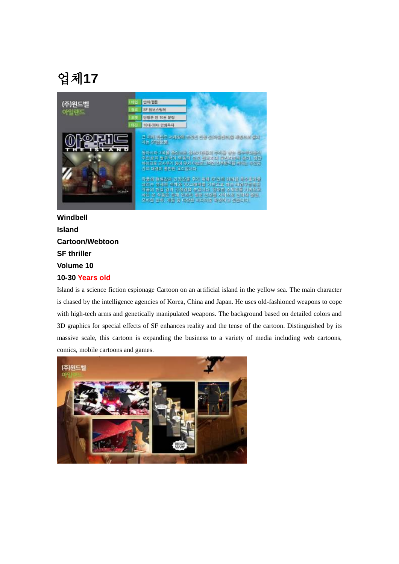

### **Windbell Island Cartoon/Webtoon SF thriller Volume 10 10-30 Years old**

Island is a science fiction espionage Cartoon on an artificial island in the yellow sea. The main character is chased by the intelligence agencies of Korea, China and Japan. He uses old-fashioned weapons to cope with high-tech arms and genetically manipulated weapons. The background based on detailed colors and 3D graphics for special effects of SF enhances reality and the tense of the cartoon. Distinguished by its massive scale, this cartoon is expanding the business to a variety of media including web cartoons, comics, mobile cartoons and games.